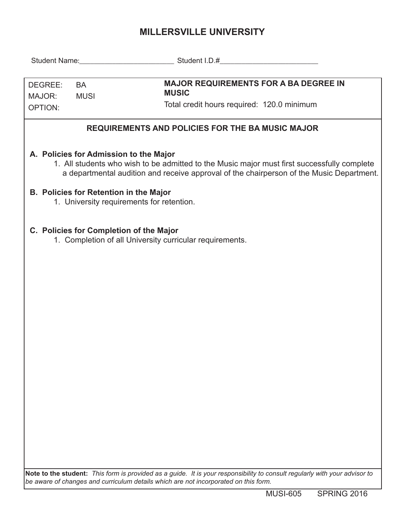## **MILLERSVILLE UNIVERSITY**

| DEGREE:<br><b>BA</b><br><b>MUSI</b><br>MAJOR:<br><b>OPTION:</b>                                                                                                                                                                   | <b>MAJOR REQUIREMENTS FOR A BA DEGREE IN</b><br><b>MUSIC</b><br>Total credit hours required: 120.0 minimum                                                                                                        |  |  |  |  |  |  |  |  |
|-----------------------------------------------------------------------------------------------------------------------------------------------------------------------------------------------------------------------------------|-------------------------------------------------------------------------------------------------------------------------------------------------------------------------------------------------------------------|--|--|--|--|--|--|--|--|
| <b>REQUIREMENTS AND POLICIES FOR THE BA MUSIC MAJOR</b>                                                                                                                                                                           |                                                                                                                                                                                                                   |  |  |  |  |  |  |  |  |
| A. Policies for Admission to the Major<br>1. All students who wish to be admitted to the Music major must first successfully complete<br>a departmental audition and receive approval of the chairperson of the Music Department. |                                                                                                                                                                                                                   |  |  |  |  |  |  |  |  |
| <b>B. Policies for Retention in the Major</b><br>1. University requirements for retention.                                                                                                                                        |                                                                                                                                                                                                                   |  |  |  |  |  |  |  |  |
| C. Policies for Completion of the Major                                                                                                                                                                                           | 1. Completion of all University curricular requirements.                                                                                                                                                          |  |  |  |  |  |  |  |  |
|                                                                                                                                                                                                                                   |                                                                                                                                                                                                                   |  |  |  |  |  |  |  |  |
|                                                                                                                                                                                                                                   |                                                                                                                                                                                                                   |  |  |  |  |  |  |  |  |
|                                                                                                                                                                                                                                   |                                                                                                                                                                                                                   |  |  |  |  |  |  |  |  |
|                                                                                                                                                                                                                                   |                                                                                                                                                                                                                   |  |  |  |  |  |  |  |  |
|                                                                                                                                                                                                                                   | Note to the student: This form is provided as a guide. It is your responsibility to consult regularly with your advisor to<br>be aware of changes and curriculum details which are not incorporated on this form. |  |  |  |  |  |  |  |  |